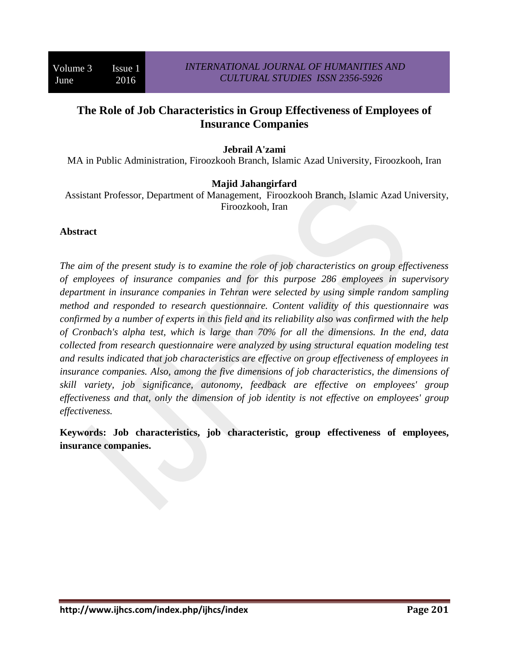## **The Role of Job Characteristics in Group Effectiveness of Employees of Insurance Companies**

### **Jebrail A'zami**

MA in Public Administration, Firoozkooh Branch, Islamic Azad University, Firoozkooh, Iran

#### **Majid Jahangirfard**

 Assistant Professor, Department of Management, Firoozkooh Branch, Islamic Azad University, Firoozkooh, Iran

#### **Abstract**

*The aim of the present study is to examine the role of job characteristics on group effectiveness of employees of insurance companies and for this purpose 286 employees in supervisory department in insurance companies in Tehran were selected by using simple random sampling method and responded to research questionnaire. Content validity of this questionnaire was confirmed by a number of experts in this field and its reliability also was confirmed with the help of Cronbach's alpha test, which is large than 70% for all the dimensions. In the end, data collected from research questionnaire were analyzed by using structural equation modeling test and results indicated that job characteristics are effective on group effectiveness of employees in insurance companies. Also, among the five dimensions of job characteristics, the dimensions of skill variety, job significance, autonomy, feedback are effective on employees' group effectiveness and that, only the dimension of job identity is not effective on employees' group effectiveness.* 

**Keywords: Job characteristics, job characteristic, group effectiveness of employees, insurance companies.**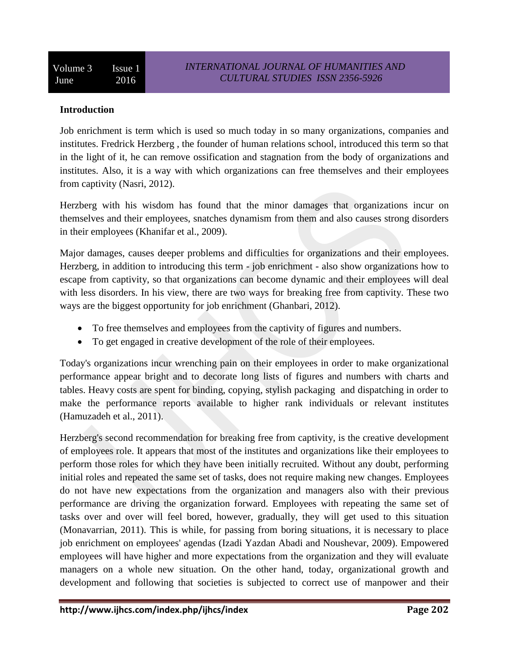### **Introduction**

Job enrichment is term which is used so much today in so many organizations, companies and institutes. Fredrick Herzberg , the founder of human relations school, introduced this term so that in the light of it, he can remove ossification and stagnation from the body of organizations and institutes. Also, it is a way with which organizations can free themselves and their employees from captivity (Nasri, 2012).

Herzberg with his wisdom has found that the minor damages that organizations incur on themselves and their employees, snatches dynamism from them and also causes strong disorders in their employees (Khanifar et al., 2009).

Major damages, causes deeper problems and difficulties for organizations and their employees. Herzberg, in addition to introducing this term - job enrichment - also show organizations how to escape from captivity, so that organizations can become dynamic and their employees will deal with less disorders. In his view, there are two ways for breaking free from captivity. These two ways are the biggest opportunity for job enrichment (Ghanbari, 2012).

- To free themselves and employees from the captivity of figures and numbers.
- To get engaged in creative development of the role of their employees.

Today's organizations incur wrenching pain on their employees in order to make organizational performance appear bright and to decorate long lists of figures and numbers with charts and tables. Heavy costs are spent for binding, copying, stylish packaging and dispatching in order to make the performance reports available to higher rank individuals or relevant institutes (Hamuzadeh et al., 2011).

Herzberg's second recommendation for breaking free from captivity, is the creative development of employees role. It appears that most of the institutes and organizations like their employees to perform those roles for which they have been initially recruited. Without any doubt, performing initial roles and repeated the same set of tasks, does not require making new changes. Employees do not have new expectations from the organization and managers also with their previous performance are driving the organization forward. Employees with repeating the same set of tasks over and over will feel bored, however, gradually, they will get used to this situation (Monavarrian, 2011). This is while, for passing from boring situations, it is necessary to place job enrichment on employees' agendas (Izadi Yazdan Abadi and Noushevar, 2009). Empowered employees will have higher and more expectations from the organization and they will evaluate managers on a whole new situation. On the other hand, today, organizational growth and development and following that societies is subjected to correct use of manpower and their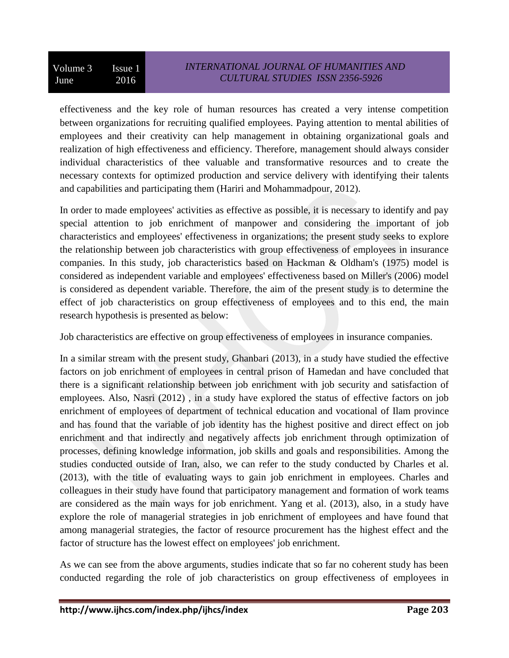effectiveness and the key role of human resources has created a very intense competition between organizations for recruiting qualified employees. Paying attention to mental abilities of employees and their creativity can help management in obtaining organizational goals and realization of high effectiveness and efficiency. Therefore, management should always consider individual characteristics of thee valuable and transformative resources and to create the necessary contexts for optimized production and service delivery with identifying their talents and capabilities and participating them (Hariri and Mohammadpour, 2012).

In order to made employees' activities as effective as possible, it is necessary to identify and pay special attention to job enrichment of manpower and considering the important of job characteristics and employees' effectiveness in organizations; the present study seeks to explore the relationship between job characteristics with group effectiveness of employees in insurance companies. In this study, job characteristics based on Hackman & Oldham's (1975) model is considered as independent variable and employees' effectiveness based on Miller's (2006) model is considered as dependent variable. Therefore, the aim of the present study is to determine the effect of job characteristics on group effectiveness of employees and to this end, the main research hypothesis is presented as below:

Job characteristics are effective on group effectiveness of employees in insurance companies.

In a similar stream with the present study, Ghanbari (2013), in a study have studied the effective factors on job enrichment of employees in central prison of Hamedan and have concluded that there is a significant relationship between job enrichment with job security and satisfaction of employees. Also, Nasri (2012) , in a study have explored the status of effective factors on job enrichment of employees of department of technical education and vocational of Ilam province and has found that the variable of job identity has the highest positive and direct effect on job enrichment and that indirectly and negatively affects job enrichment through optimization of processes, defining knowledge information, job skills and goals and responsibilities. Among the studies conducted outside of Iran, also, we can refer to the study conducted by Charles et al. (2013), with the title of evaluating ways to gain job enrichment in employees. Charles and colleagues in their study have found that participatory management and formation of work teams are considered as the main ways for job enrichment. Yang et al. (2013), also, in a study have explore the role of managerial strategies in job enrichment of employees and have found that among managerial strategies, the factor of resource procurement has the highest effect and the factor of structure has the lowest effect on employees' job enrichment.

As we can see from the above arguments, studies indicate that so far no coherent study has been conducted regarding the role of job characteristics on group effectiveness of employees in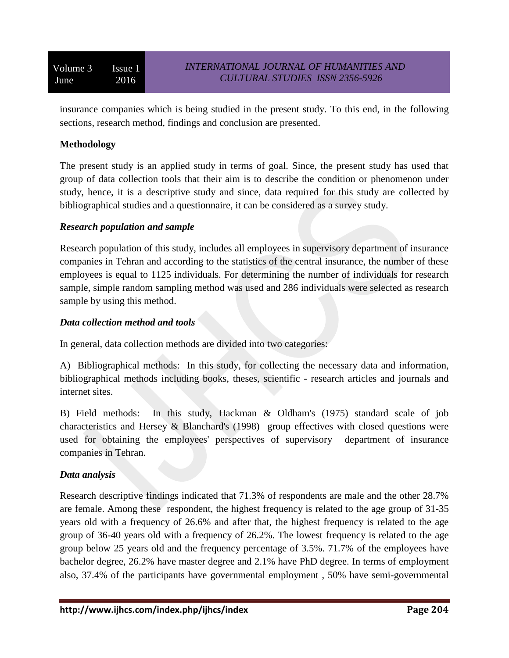insurance companies which is being studied in the present study. To this end, in the following sections, research method, findings and conclusion are presented.

### **Methodology**

The present study is an applied study in terms of goal. Since, the present study has used that group of data collection tools that their aim is to describe the condition or phenomenon under study, hence, it is a descriptive study and since, data required for this study are collected by bibliographical studies and a questionnaire, it can be considered as a survey study.

### *Research population and sample*

Research population of this study, includes all employees in supervisory department of insurance companies in Tehran and according to the statistics of the central insurance, the number of these employees is equal to 1125 individuals. For determining the number of individuals for research sample, simple random sampling method was used and 286 individuals were selected as research sample by using this method.

### *Data collection method and tools*

In general, data collection methods are divided into two categories:

A) Bibliographical methods: In this study, for collecting the necessary data and information, bibliographical methods including books, theses, scientific - research articles and journals and internet sites.

B) Field methods: In this study, Hackman & Oldham's (1975) standard scale of job characteristics and Hersey & Blanchard's (1998) group effectives with closed questions were used for obtaining the employees' perspectives of supervisory department of insurance companies in Tehran.

### *Data analysis*

Research descriptive findings indicated that 71.3% of respondents are male and the other 28.7% are female. Among these respondent, the highest frequency is related to the age group of 31-35 years old with a frequency of 26.6% and after that, the highest frequency is related to the age group of 36-40 years old with a frequency of 26.2%. The lowest frequency is related to the age group below 25 years old and the frequency percentage of 3.5%. 71.7% of the employees have bachelor degree, 26.2% have master degree and 2.1% have PhD degree. In terms of employment also, 37.4% of the participants have governmental employment , 50% have semi-governmental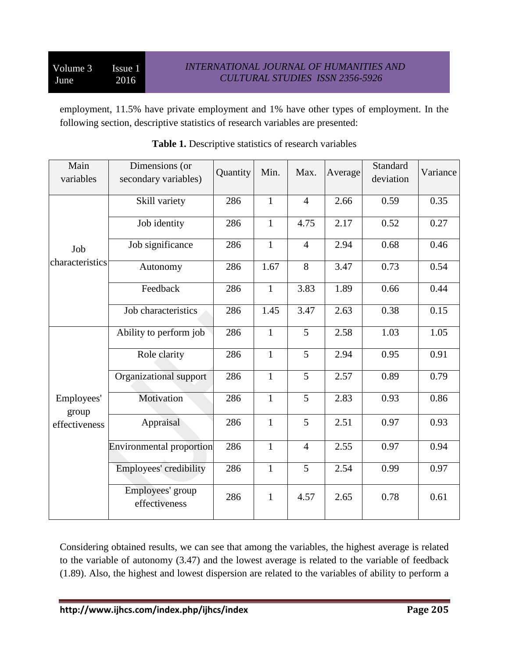employment, 11.5% have private employment and 1% have other types of employment. In the following section, descriptive statistics of research variables are presented:

| Main<br>variables   | Dimensions (or<br>secondary variables) | Quantity | Min.         | Max.           | Average | Standard<br>deviation | Variance |
|---------------------|----------------------------------------|----------|--------------|----------------|---------|-----------------------|----------|
|                     | Skill variety                          | 286      | $\mathbf{1}$ | $\overline{4}$ | 2.66    | 0.59                  | 0.35     |
|                     | Job identity                           | 286      | $\mathbf{1}$ | 4.75           | 2.17    | 0.52                  | 0.27     |
| Job                 | Job significance                       | 286      | $\mathbf{1}$ | $\overline{4}$ | 2.94    | 0.68                  | 0.46     |
| characteristics     | Autonomy                               | 286      | 1.67         | 8              | 3.47    | 0.73                  | 0.54     |
|                     | Feedback                               | 286      | $\mathbf{1}$ | 3.83           | 1.89    | 0.66                  | 0.44     |
|                     | Job characteristics                    | 286      | 1.45         | 3.47           | 2.63    | 0.38                  | 0.15     |
|                     | Ability to perform job                 | 286      | $\mathbf{1}$ | 5              | 2.58    | 1.03                  | 1.05     |
|                     | Role clarity                           | 286      | $\mathbf{1}$ | 5              | 2.94    | 0.95                  | 0.91     |
|                     | Organizational support                 | 286      | $\mathbf{1}$ | 5              | 2.57    | 0.89                  | 0.79     |
| Employees'<br>group | Motivation                             | 286      | $\mathbf{1}$ | 5              | 2.83    | 0.93                  | 0.86     |
| effectiveness       | Appraisal                              | 286      | $\mathbf{1}$ | 5              | 2.51    | 0.97                  | 0.93     |
|                     | <b>Environmental proportion</b>        | 286      | $\mathbf{1}$ | $\overline{4}$ | 2.55    | 0.97                  | 0.94     |
|                     | Employees' credibility                 | 286      | $\mathbf{1}$ | 5              | 2.54    | 0.99                  | 0.97     |
|                     | Employees' group<br>effectiveness      | 286      | $\mathbf{1}$ | 4.57           | 2.65    | 0.78                  | 0.61     |

## **Table 1.** Descriptive statistics of research variables

Considering obtained results, we can see that among the variables, the highest average is related to the variable of autonomy (3.47) and the lowest average is related to the variable of feedback (1.89). Also, the highest and lowest dispersion are related to the variables of ability to perform a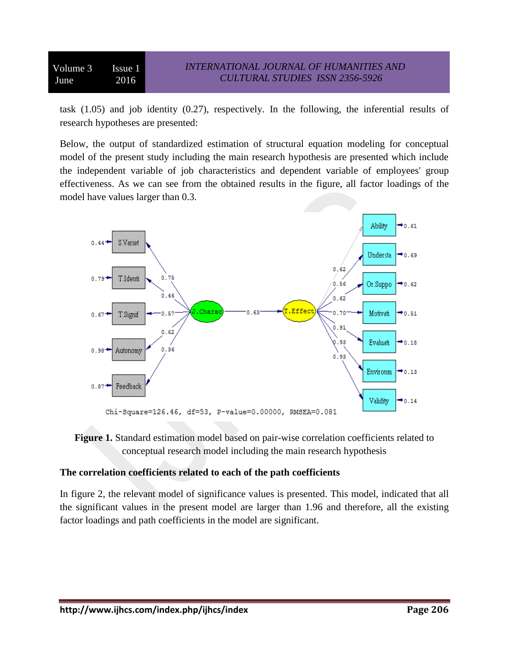Volume 3 Issue 1 June 2016

task (1.05) and job identity (0.27), respectively. In the following, the inferential results of research hypotheses are presented:

Below, the output of standardized estimation of structural equation modeling for conceptual model of the present study including the main research hypothesis are presented which include the independent variable of job characteristics and dependent variable of employees' group effectiveness. As we can see from the obtained results in the figure, all factor loadings of the model have values larger than 0.3.





### **The correlation coefficients related to each of the path coefficients**

In figure 2, the relevant model of significance values is presented. This model, indicated that all the significant values in the present model are larger than 1.96 and therefore, all the existing factor loadings and path coefficients in the model are significant.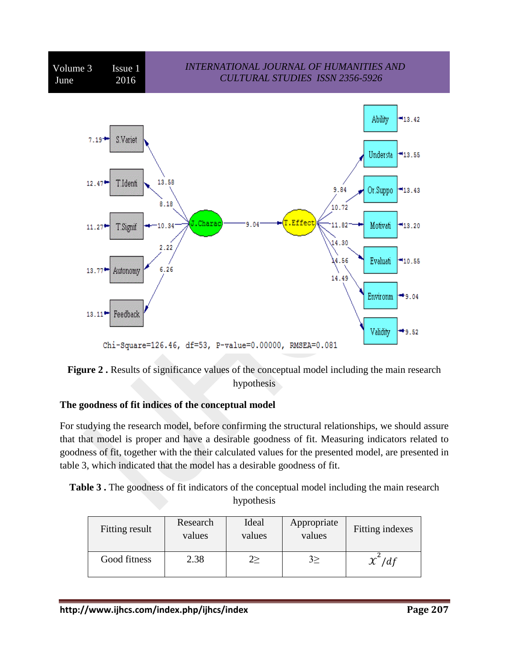



## **The goodness of fit indices of the conceptual model**

For studying the research model, before confirming the structural relationships, we should assure that that model is proper and have a desirable goodness of fit. Measuring indicators related to goodness of fit, together with the their calculated values for the presented model, are presented in table 3, which indicated that the model has a desirable goodness of fit.

|  |  |  | <b>Table 3.</b> The goodness of fit indicators of the conceptual model including the main research |  |  |
|--|--|--|----------------------------------------------------------------------------------------------------|--|--|
|  |  |  | hypothesis                                                                                         |  |  |

| Fitting result | Research<br>values | Ideal<br>values | Appropriate<br>values | Fitting indexes   |
|----------------|--------------------|-----------------|-----------------------|-------------------|
| Good fitness   | 2.38               |                 |                       | $\gamma^2$<br>/df |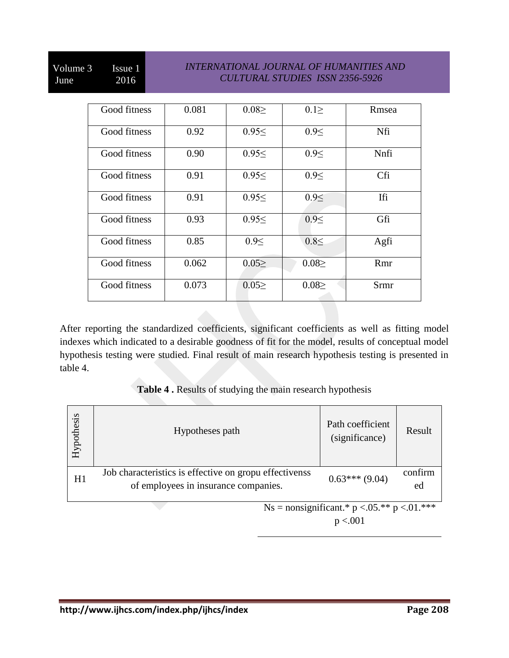# Volume 3 Issue 1 June 2016

## *INTERNATIONAL JOURNAL OF HUMANITIES AND CULTURAL STUDIES ISSN 2356-5926*

| Good fitness | 0.081 | $0.08 \geq$ | $0.1 \geq$  | Rmsea       |
|--------------|-------|-------------|-------------|-------------|
| Good fitness | 0.92  | 0.95<       | 0.9<        | Nfi         |
| Good fitness | 0.90  | 0.95<       | 0.9<        | Nnfi        |
| Good fitness | 0.91  | 0.95<       | 0.9<        | Cfi         |
| Good fitness | 0.91  | 0.95<       | 0.9<        | Ifi         |
| Good fitness | 0.93  | $0.95 \le$  | 0.9<        | Gfi         |
| Good fitness | 0.85  | 0.9<        | $0.8 \leq$  | Agfi        |
| Good fitness | 0.062 | 0.05        | $0.08 \geq$ | Rmr         |
| Good fitness | 0.073 | 0.052       | $0.08 \geq$ | <b>Srmr</b> |

After reporting the standardized coefficients, significant coefficients as well as fitting model indexes which indicated to a desirable goodness of fit for the model, results of conceptual model hypothesis testing were studied. Final result of main research hypothesis testing is presented in table 4.

### **Table 4 .** Results of studying the main research hypothesis

| Hypothesis | Hypotheses path                                                                                | Path coefficient<br>(significance)                                | Result        |
|------------|------------------------------------------------------------------------------------------------|-------------------------------------------------------------------|---------------|
| H1         | Job characteristics is effective on gropu effectivenss<br>of employees in insurance companies. | $0.63***(9.04)$                                                   | confirm<br>ed |
|            |                                                                                                | Ns = nonsignificant.* $p < 0.05$ .** $p < 0.01$ .***<br>p < 0.001 |               |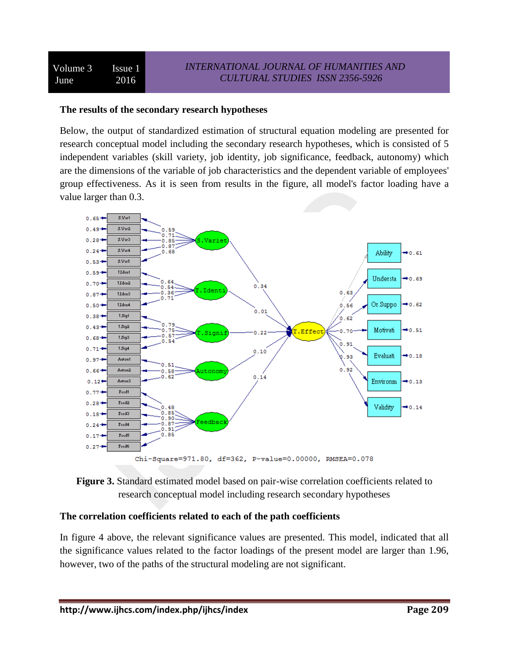#### **The results of the secondary research hypotheses**

Below, the output of standardized estimation of structural equation modeling are presented for research conceptual model including the secondary research hypotheses, which is consisted of 5 independent variables (skill variety, job identity, job significance, feedback, autonomy) which are the dimensions of the variable of job characteristics and the dependent variable of employees' group effectiveness. As it is seen from results in the figure, all model's factor loading have a value larger than 0.3.





### **The correlation coefficients related to each of the path coefficients**

In figure 4 above, the relevant significance values are presented. This model, indicated that all the significance values related to the factor loadings of the present model are larger than 1.96, however, two of the paths of the structural modeling are not significant.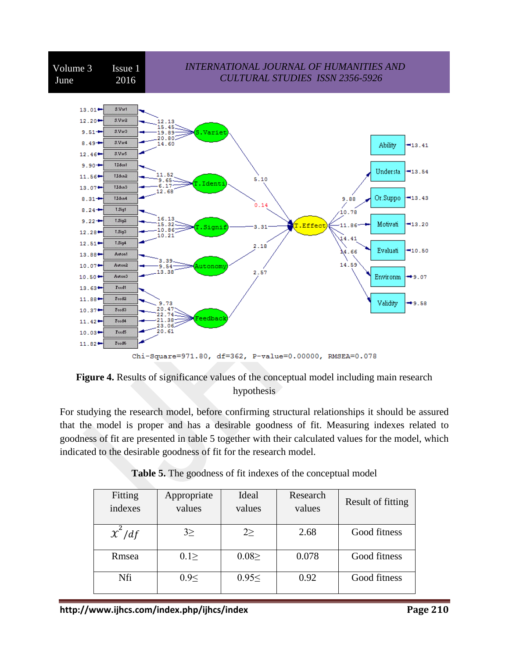

Chi-Square=971.80, df=362, P-value=0.00000, RMSEA=0.078



For studying the research model, before confirming structural relationships it should be assured that the model is proper and has a desirable goodness of fit. Measuring indexes related to goodness of fit are presented in table 5 together with their calculated values for the model, which indicated to the desirable goodness of fit for the research model.

| Fitting<br>indexes | Appropriate<br>values | Ideal<br>values | Research<br>values | Result of fitting |
|--------------------|-----------------------|-----------------|--------------------|-------------------|
| $x^2/df$           | $3\geq$               | $2\geq$         | 2.68               | Good fitness      |
| Rmsea              | $0.1 \geq$            | $0.08 \geq$     | 0.078              | Good fitness      |
| Nfi                | 0.9<                  | 0.95<           | 0.92               | Good fitness      |

|  |  | <b>Table 5.</b> The goodness of fit indexes of the conceptual model |  |  |
|--|--|---------------------------------------------------------------------|--|--|
|--|--|---------------------------------------------------------------------|--|--|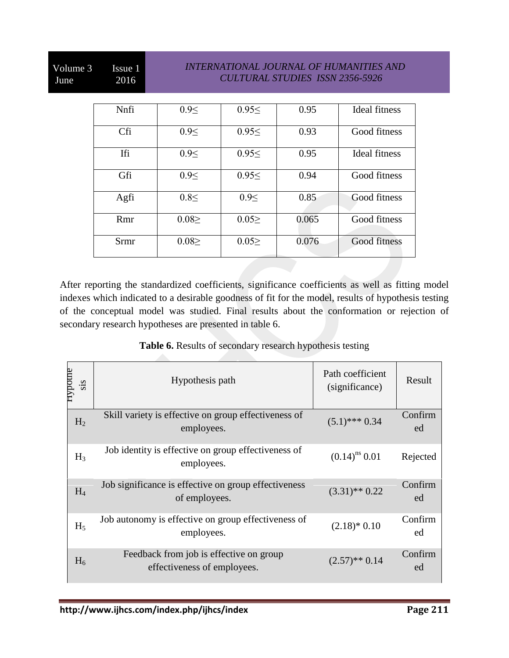# Volume 3 Issue 1 June 2016

## *INTERNATIONAL JOURNAL OF HUMANITIES AND CULTURAL STUDIES ISSN 2356-5926*

| Nnfi | 0.9<        | $0.95 \leq$ | 0.95  | Ideal fitness |
|------|-------------|-------------|-------|---------------|
| Cfi  | $0.9 \leq$  | $0.95 \leq$ | 0.93  | Good fitness  |
| Ifi  | 0.9<        | $0.95 \leq$ | 0.95  | Ideal fitness |
| Gfi  | 0.9<        | $0.95 \leq$ | 0.94  | Good fitness  |
| Agfi | $0.8 \leq$  | 0.9<        | 0.85  | Good fitness  |
| Rmr  | 0.082       | 0.052       | 0.065 | Good fitness  |
| Srmr | $0.08 \geq$ | $0.05 \geq$ | 0.076 | Good fitness  |

After reporting the standardized coefficients, significance coefficients as well as fitting model indexes which indicated to a desirable goodness of fit for the model, results of hypothesis testing of the conceptual model was studied. Final results about the conformation or rejection of secondary research hypotheses are presented in table 6.

**Table 6.** Results of secondary research hypothesis testing

| нуроше<br>sis  | Hypothesis path                                                        | Path coefficient<br>(significance) | Result        |
|----------------|------------------------------------------------------------------------|------------------------------------|---------------|
| H <sub>2</sub> | Skill variety is effective on group effectiveness of<br>employees.     | $(5.1)$ *** 0.34                   | Confirm<br>ed |
| $H_3$          | Job identity is effective on group effectiveness of<br>employees.      | $(0.14)^{ns}$ 0.01                 | Rejected      |
| $H_4$          | Job significance is effective on group effectiveness<br>of employees.  | $(3.31)$ ** 0.22                   | Confirm<br>ed |
| $H_5$          | Job autonomy is effective on group effectiveness of<br>employees.      | $(2.18)*0.10$                      | Confirm<br>ed |
| $H_6$          | Feedback from job is effective on group<br>effectiveness of employees. | $(2.57)$ ** 0.14                   | Confirm<br>ed |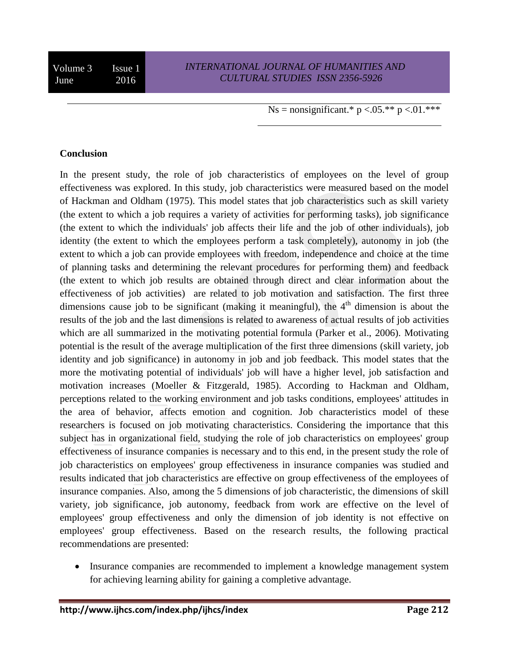Ns = nonsignificant.\*  $p < .05$ .\*\*  $p < .01$ .\*\*\*

#### **Conclusion**

In the present study, the role of job characteristics of employees on the level of group effectiveness was explored. In this study, job characteristics were measured based on the model of Hackman and Oldham (1975). This model states that job characteristics such as skill variety (the extent to which a job requires a variety of activities for performing tasks), job significance (the extent to which the individuals' job affects their life and the job of other individuals), job identity (the extent to which the employees perform a task completely), autonomy in job (the extent to which a job can provide employees with freedom, independence and choice at the time of planning tasks and determining the relevant procedures for performing them) and feedback (the extent to which job results are obtained through direct and clear information about the effectiveness of job activities) are related to job motivation and satisfaction. The first three dimensions cause job to be significant (making it meaningful), the  $4<sup>th</sup>$  dimension is about the results of the job and the last dimensions is related to awareness of actual results of job activities which are all summarized in the motivating potential formula (Parker et al., 2006). Motivating potential is the result of the average multiplication of the first three dimensions (skill variety, job identity and job significance) in autonomy in job and job feedback. This model states that the more the motivating potential of individuals' job will have a higher level, job satisfaction and motivation increases (Moeller & Fitzgerald, 1985). According to Hackman and Oldham, perceptions related to the working environment and job tasks conditions, employees' attitudes in the area of behavior, affects emotion and cognition. Job characteristics model of these researchers is focused on job motivating characteristics. Considering the importance that this subject has in organizational field, studying the role of job characteristics on employees' group effectiveness of insurance companies is necessary and to this end, in the present study the role of job characteristics on employees' group effectiveness in insurance companies was studied and results indicated that job characteristics are effective on group effectiveness of the employees of insurance companies. Also, among the 5 dimensions of job characteristic, the dimensions of skill variety, job significance, job autonomy, feedback from work are effective on the level of employees' group effectiveness and only the dimension of job identity is not effective on employees' group effectiveness. Based on the research results, the following practical recommendations are presented:

• Insurance companies are recommended to implement a knowledge management system for achieving learning ability for gaining a completive advantage.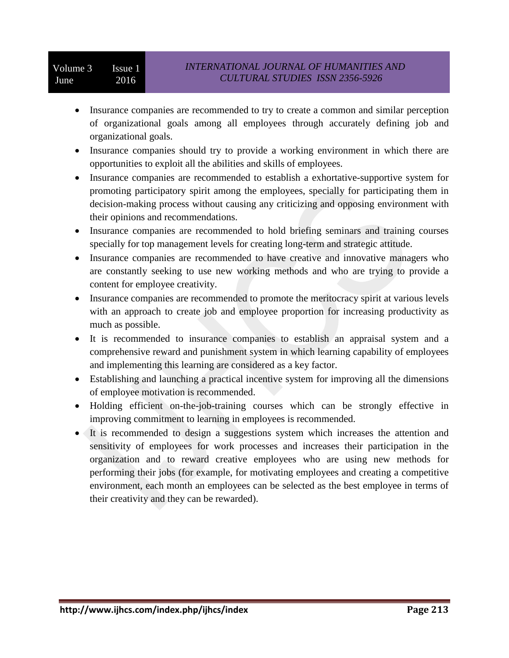- Insurance companies are recommended to try to create a common and similar perception of organizational goals among all employees through accurately defining job and organizational goals.
- Insurance companies should try to provide a working environment in which there are opportunities to exploit all the abilities and skills of employees.
- Insurance companies are recommended to establish a exhortative-supportive system for promoting participatory spirit among the employees, specially for participating them in decision-making process without causing any criticizing and opposing environment with their opinions and recommendations.
- Insurance companies are recommended to hold briefing seminars and training courses specially for top management levels for creating long-term and strategic attitude.
- Insurance companies are recommended to have creative and innovative managers who are constantly seeking to use new working methods and who are trying to provide a content for employee creativity.
- Insurance companies are recommended to promote the meritocracy spirit at various levels with an approach to create job and employee proportion for increasing productivity as much as possible.
- It is recommended to insurance companies to establish an appraisal system and a comprehensive reward and punishment system in which learning capability of employees and implementing this learning are considered as a key factor.
- Establishing and launching a practical incentive system for improving all the dimensions of employee motivation is recommended.
- Holding efficient on-the-job-training courses which can be strongly effective in improving commitment to learning in employees is recommended.
- It is recommended to design a suggestions system which increases the attention and sensitivity of employees for work processes and increases their participation in the organization and to reward creative employees who are using new methods for performing their jobs (for example, for motivating employees and creating a competitive environment, each month an employees can be selected as the best employee in terms of their creativity and they can be rewarded).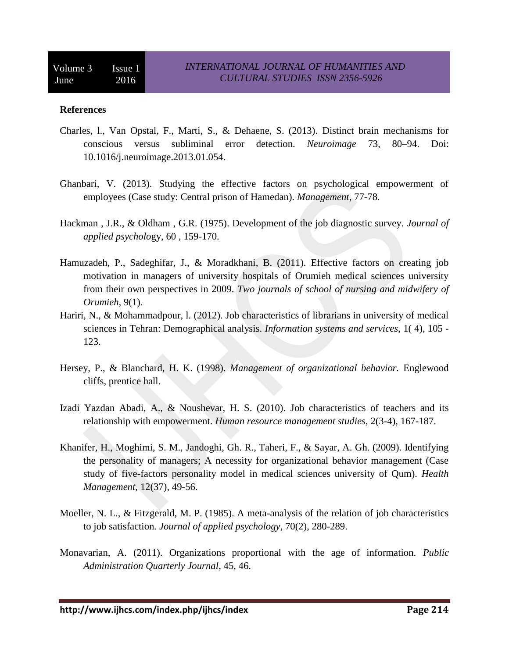#### **References**

- Charles, l., Van Opstal, F., Marti, S., & Dehaene, S. (2013). Distinct brain mechanisms for conscious versus subliminal error detection. *Neuroimage* 73, 80–94. Doi: 10.1016/j.neuroimage.2013.01.054.
- Ghanbari, V. (2013). Studying the effective factors on psychological empowerment of employees (Case study: Central prison of Hamedan). *Management*, 77-78.
- Hackman , J.R., & Oldham , G.R. (1975). Development of the job diagnostic survey. *Journal of applied psycholo*gy, 60 , 159-170.
- Hamuzadeh, P., Sadeghifar, J., & Moradkhani, B. (2011). Effective factors on creating job motivation in managers of university hospitals of Orumieh medical sciences university from their own perspectives in 2009. *Two journals of school of nursing and midwifery of Orumieh*, 9(1).
- Hariri, N., & Mohammadpour, l. (2012). Job characteristics of librarians in university of medical sciences in Tehran: Demographical analysis. *Information systems and services*, 1( 4), 105 - 123.
- Hersey, P., & Blanchard, H. K. (1998). *Management of organizational behavior.* Englewood cliffs, prentice hall.
- Izadi Yazdan Abadi, A., & Noushevar, H. S. (2010). Job characteristics of teachers and its relationship with empowerment. *Human resource management studies*, 2(3-4), 167-187.
- Khanifer, H., Moghimi, S. M., Jandoghi, Gh. R., Taheri, F., & Sayar, A. Gh. (2009). Identifying the personality of managers; A necessity for organizational behavior management (Case study of five-factors personality model in medical sciences university of Qum). *Health Management*, 12(37), 49-56.
- Moeller, N. L., & Fitzgerald, M. P. (1985). A meta-analysis of the relation of job characteristics to job satisfaction*. Journal of applied psychology*, 70(2), 280-289.
- Monavarian, A. (2011). Organizations proportional with the age of information. *Public Administration Quarterly Journal*, 45, 46.